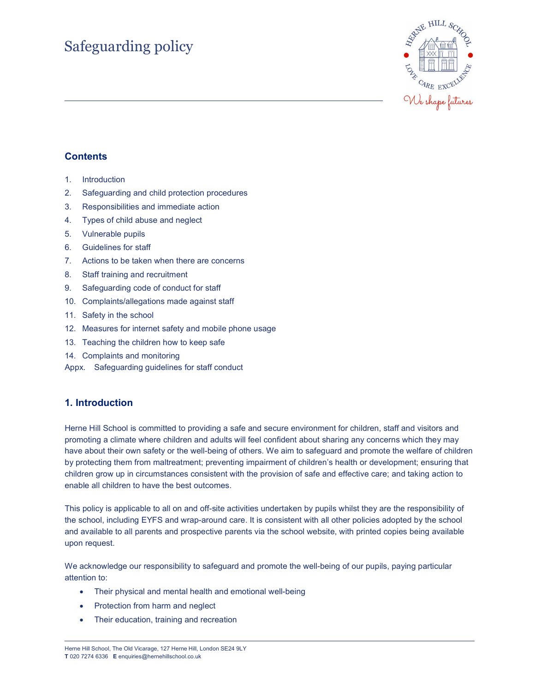# Safeguarding policy



# **Contents**

- 1. Introduction
- 2. Safeguarding and child protection procedures
- 3. Responsibilities and immediate action
- 4. Types of child abuse and neglect
- 5. Vulnerable pupils
- 6. Guidelines for staff
- 7. Actions to be taken when there are concerns
- 8. Staff training and recruitment
- 9. Safeguarding code of conduct for staff
- 10. Complaints/allegations made against staff
- 11. Safety in the school
- 12. Measures for internet safety and mobile phone usage
- 13. Teaching the children how to keep safe
- 14. Complaints and monitoring
- Appx. Safeguarding guidelines for staff conduct

# 1. Introduction

Herne Hill School is committed to providing a safe and secure environment for children, staff and visitors and promoting a climate where children and adults will feel confident about sharing any concerns which they may have about their own safety or the well-being of others. We aim to safeguard and promote the welfare of children by protecting them from maltreatment; preventing impairment of children's health or development; ensuring that children grow up in circumstances consistent with the provision of safe and effective care; and taking action to enable all children to have the best outcomes.

This policy is applicable to all on and off-site activities undertaken by pupils whilst they are the responsibility of the school, including EYFS and wrap-around care. It is consistent with all other policies adopted by the school and available to all parents and prospective parents via the school website, with printed copies being available upon request.

We acknowledge our responsibility to safeguard and promote the well-being of our pupils, paying particular attention to:

- Their physical and mental health and emotional well-being
- Protection from harm and neglect
- Their education, training and recreation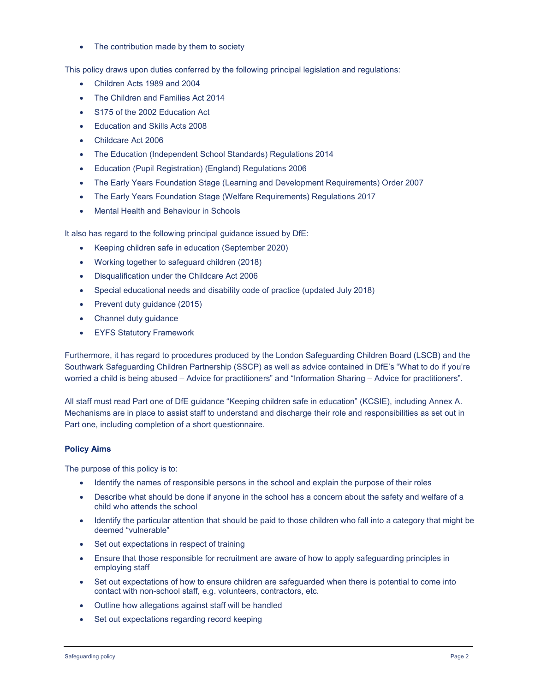• The contribution made by them to society

This policy draws upon duties conferred by the following principal legislation and regulations:

- Children Acts 1989 and 2004
- The Children and Families Act 2014
- S175 of the 2002 Education Act
- Education and Skills Acts 2008
- Childcare Act 2006
- The Education (Independent School Standards) Regulations 2014
- Education (Pupil Registration) (England) Regulations 2006
- The Early Years Foundation Stage (Learning and Development Requirements) Order 2007
- The Early Years Foundation Stage (Welfare Requirements) Regulations 2017
- Mental Health and Behaviour in Schools

It also has regard to the following principal guidance issued by DfE:

- Keeping children safe in education (September 2020)
- Working together to safeguard children (2018)
- Disqualification under the Childcare Act 2006
- Special educational needs and disability code of practice (updated July 2018)
- Prevent duty guidance (2015)
- Channel duty guidance
- EYFS Statutory Framework

Furthermore, it has regard to procedures produced by the London Safeguarding Children Board (LSCB) and the Southwark Safeguarding Children Partnership (SSCP) as well as advice contained in DfE's "What to do if you're worried a child is being abused – Advice for practitioners" and "Information Sharing – Advice for practitioners".

All staff must read Part one of DfE guidance "Keeping children safe in education" (KCSIE), including Annex A. Mechanisms are in place to assist staff to understand and discharge their role and responsibilities as set out in Part one, including completion of a short questionnaire.

# Policy Aims

The purpose of this policy is to:

- Identify the names of responsible persons in the school and explain the purpose of their roles
- Describe what should be done if anyone in the school has a concern about the safety and welfare of a child who attends the school
- Identify the particular attention that should be paid to those children who fall into a category that might be deemed "vulnerable"
- Set out expectations in respect of training
- Ensure that those responsible for recruitment are aware of how to apply safeguarding principles in employing staff
- Set out expectations of how to ensure children are safeguarded when there is potential to come into contact with non-school staff, e.g. volunteers, contractors, etc.
- Outline how allegations against staff will be handled
- Set out expectations regarding record keeping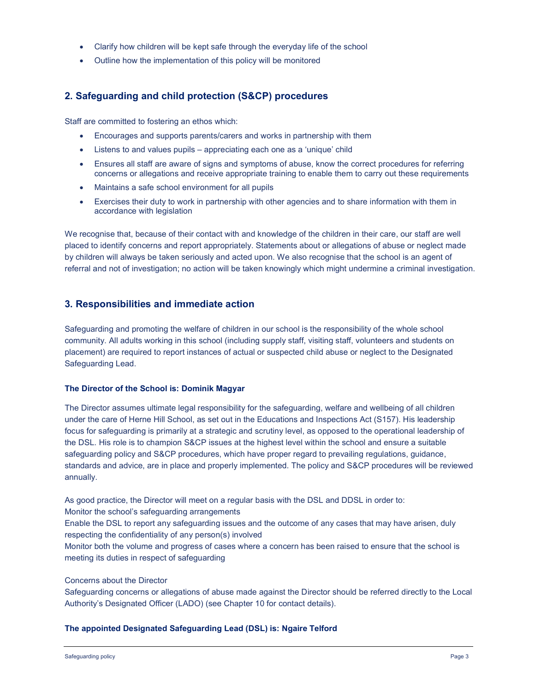- Clarify how children will be kept safe through the everyday life of the school
- Outline how the implementation of this policy will be monitored

# 2. Safeguarding and child protection (S&CP) procedures

Staff are committed to fostering an ethos which:

- Encourages and supports parents/carers and works in partnership with them
- Listens to and values pupils appreciating each one as a 'unique' child
- Ensures all staff are aware of signs and symptoms of abuse, know the correct procedures for referring concerns or allegations and receive appropriate training to enable them to carry out these requirements
- Maintains a safe school environment for all pupils
- Exercises their duty to work in partnership with other agencies and to share information with them in accordance with legislation

We recognise that, because of their contact with and knowledge of the children in their care, our staff are well placed to identify concerns and report appropriately. Statements about or allegations of abuse or neglect made by children will always be taken seriously and acted upon. We also recognise that the school is an agent of referral and not of investigation; no action will be taken knowingly which might undermine a criminal investigation.

# 3. Responsibilities and immediate action

Safeguarding and promoting the welfare of children in our school is the responsibility of the whole school community. All adults working in this school (including supply staff, visiting staff, volunteers and students on placement) are required to report instances of actual or suspected child abuse or neglect to the Designated Safeguarding Lead.

# The Director of the School is: Dominik Magyar

The Director assumes ultimate legal responsibility for the safeguarding, welfare and wellbeing of all children under the care of Herne Hill School, as set out in the Educations and Inspections Act (S157). His leadership focus for safeguarding is primarily at a strategic and scrutiny level, as opposed to the operational leadership of the DSL. His role is to champion S&CP issues at the highest level within the school and ensure a suitable safeguarding policy and S&CP procedures, which have proper regard to prevailing regulations, guidance, standards and advice, are in place and properly implemented. The policy and S&CP procedures will be reviewed annually.

As good practice, the Director will meet on a regular basis with the DSL and DDSL in order to:

Monitor the school's safeguarding arrangements

Enable the DSL to report any safeguarding issues and the outcome of any cases that may have arisen, duly respecting the confidentiality of any person(s) involved

Monitor both the volume and progress of cases where a concern has been raised to ensure that the school is meeting its duties in respect of safeguarding

# Concerns about the Director

Safeguarding concerns or allegations of abuse made against the Director should be referred directly to the Local Authority's Designated Officer (LADO) (see Chapter 10 for contact details).

# The appointed Designated Safeguarding Lead (DSL) is: Ngaire Telford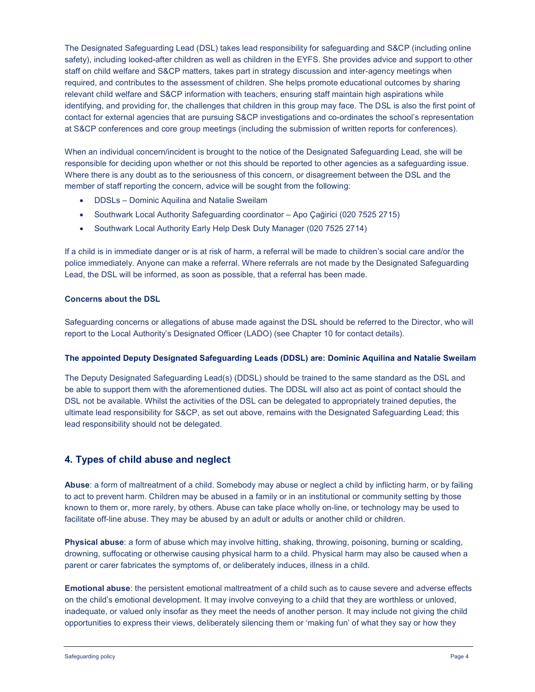The Designated Safeguarding Lead (DSL) takes lead responsibility for safeguarding and S&CP (including online safety), including looked-after children as well as children in the EYFS. She provides advice and support to other staff on child welfare and S&CP matters, takes part in strategy discussion and inter-agency meetings when required, and contributes to the assessment of children. She helps promote educational outcomes by sharing relevant child welfare and S&CP information with teachers, ensuring staff maintain high aspirations while identifying, and providing for, the challenges that children in this group may face. The DSL is also the first point of contact for external agencies that are pursuing S&CP investigations and co-ordinates the school's representation at S&CP conferences and core group meetings (including the submission of written reports for conferences).

When an individual concern/incident is brought to the notice of the Designated Safeguarding Lead, she will be responsible for deciding upon whether or not this should be reported to other agencies as a safeguarding issue. Where there is any doubt as to the seriousness of this concern, or disagreement between the DSL and the member of staff reporting the concern, advice will be sought from the following:

- DDSLs Dominic Aquilina and Natalie Sweilam
- Southwark Local Authority Safeguarding coordinator Apo Çağirici (020 7525 2715)
- Southwark Local Authority Early Help Desk Duty Manager (020 7525 2714)

If a child is in immediate danger or is at risk of harm, a referral will be made to children's social care and/or the police immediately. Anyone can make a referral. Where referrals are not made by the Designated Safeguarding Lead, the DSL will be informed, as soon as possible, that a referral has been made.

### Concerns about the DSL

Safeguarding concerns or allegations of abuse made against the DSL should be referred to the Director, who will report to the Local Authority's Designated Officer (LADO) (see Chapter 10 for contact details).

# The appointed Deputy Designated Safeguarding Leads (DDSL) are: Dominic Aquilina and Natalie Sweilam

The Deputy Designated Safeguarding Lead(s) (DDSL) should be trained to the same standard as the DSL and be able to support them with the aforementioned duties. The DDSL will also act as point of contact should the DSL not be available. Whilst the activities of the DSL can be delegated to appropriately trained deputies, the ultimate lead responsibility for S&CP, as set out above, remains with the Designated Safeguarding Lead; this lead responsibility should not be delegated.

# 4. Types of child abuse and neglect

Abuse: a form of maltreatment of a child. Somebody may abuse or neglect a child by inflicting harm, or by failing to act to prevent harm. Children may be abused in a family or in an institutional or community setting by those known to them or, more rarely, by others. Abuse can take place wholly on-line, or technology may be used to facilitate off-line abuse. They may be abused by an adult or adults or another child or children.

Physical abuse: a form of abuse which may involve hitting, shaking, throwing, poisoning, burning or scalding, drowning, suffocating or otherwise causing physical harm to a child. Physical harm may also be caused when a parent or carer fabricates the symptoms of, or deliberately induces, illness in a child.

Emotional abuse: the persistent emotional maltreatment of a child such as to cause severe and adverse effects on the child's emotional development. It may involve conveying to a child that they are worthless or unloved, inadequate, or valued only insofar as they meet the needs of another person. It may include not giving the child opportunities to express their views, deliberately silencing them or 'making fun' of what they say or how they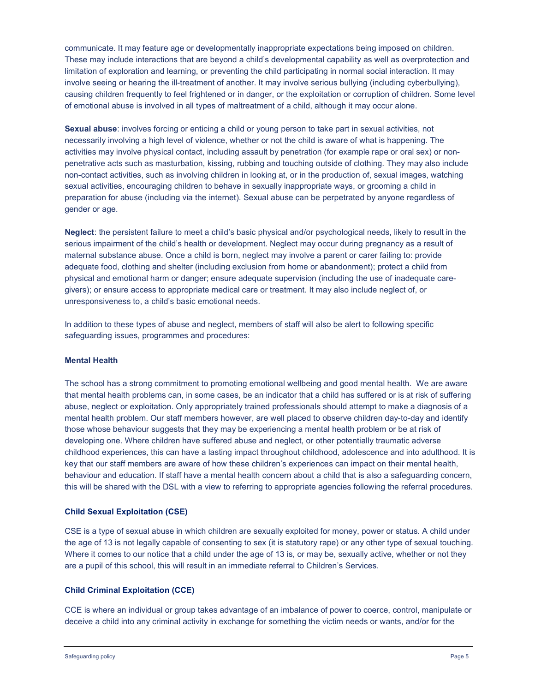communicate. It may feature age or developmentally inappropriate expectations being imposed on children. These may include interactions that are beyond a child's developmental capability as well as overprotection and limitation of exploration and learning, or preventing the child participating in normal social interaction. It may involve seeing or hearing the ill-treatment of another. It may involve serious bullying (including cyberbullying), causing children frequently to feel frightened or in danger, or the exploitation or corruption of children. Some level of emotional abuse is involved in all types of maltreatment of a child, although it may occur alone.

Sexual abuse: involves forcing or enticing a child or young person to take part in sexual activities, not necessarily involving a high level of violence, whether or not the child is aware of what is happening. The activities may involve physical contact, including assault by penetration (for example rape or oral sex) or nonpenetrative acts such as masturbation, kissing, rubbing and touching outside of clothing. They may also include non-contact activities, such as involving children in looking at, or in the production of, sexual images, watching sexual activities, encouraging children to behave in sexually inappropriate ways, or grooming a child in preparation for abuse (including via the internet). Sexual abuse can be perpetrated by anyone regardless of gender or age.

Neglect: the persistent failure to meet a child's basic physical and/or psychological needs, likely to result in the serious impairment of the child's health or development. Neglect may occur during pregnancy as a result of maternal substance abuse. Once a child is born, neglect may involve a parent or carer failing to: provide adequate food, clothing and shelter (including exclusion from home or abandonment); protect a child from physical and emotional harm or danger; ensure adequate supervision (including the use of inadequate caregivers); or ensure access to appropriate medical care or treatment. It may also include neglect of, or unresponsiveness to, a child's basic emotional needs.

In addition to these types of abuse and neglect, members of staff will also be alert to following specific safeguarding issues, programmes and procedures:

#### Mental Health

The school has a strong commitment to promoting emotional wellbeing and good mental health. We are aware that mental health problems can, in some cases, be an indicator that a child has suffered or is at risk of suffering abuse, neglect or exploitation. Only appropriately trained professionals should attempt to make a diagnosis of a mental health problem. Our staff members however, are well placed to observe children day-to-day and identify those whose behaviour suggests that they may be experiencing a mental health problem or be at risk of developing one. Where children have suffered abuse and neglect, or other potentially traumatic adverse childhood experiences, this can have a lasting impact throughout childhood, adolescence and into adulthood. It is key that our staff members are aware of how these children's experiences can impact on their mental health, behaviour and education. If staff have a mental health concern about a child that is also a safeguarding concern, this will be shared with the DSL with a view to referring to appropriate agencies following the referral procedures.

# Child Sexual Exploitation (CSE)

CSE is a type of sexual abuse in which children are sexually exploited for money, power or status. A child under the age of 13 is not legally capable of consenting to sex (it is statutory rape) or any other type of sexual touching. Where it comes to our notice that a child under the age of 13 is, or may be, sexually active, whether or not they are a pupil of this school, this will result in an immediate referral to Children's Services.

# Child Criminal Exploitation (CCE)

CCE is where an individual or group takes advantage of an imbalance of power to coerce, control, manipulate or deceive a child into any criminal activity in exchange for something the victim needs or wants, and/or for the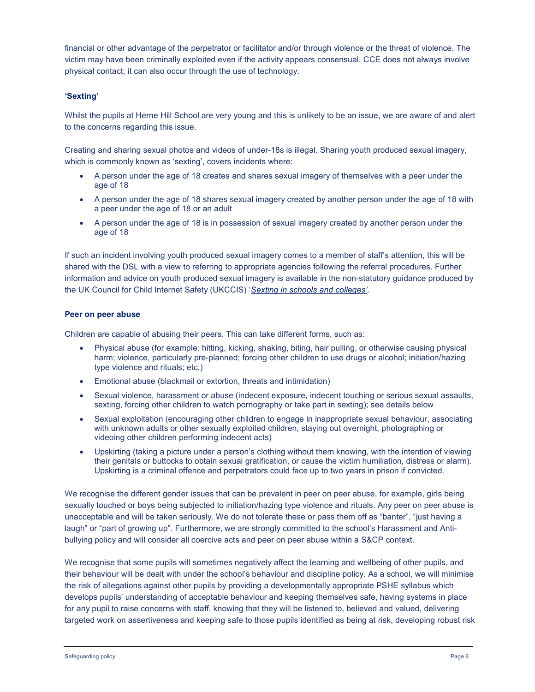financial or other advantage of the perpetrator or facilitator and/or through violence or the threat of violence. The victim may have been criminally exploited even if the activity appears consensual. CCE does not always involve physical contact; it can also occur through the use of technology.

# 'Sexting'

Whilst the pupils at Herne Hill School are very young and this is unlikely to be an issue, we are aware of and alert to the concerns regarding this issue.

Creating and sharing sexual photos and videos of under-18s is illegal. Sharing youth produced sexual imagery, which is commonly known as 'sexting', covers incidents where:

- A person under the age of 18 creates and shares sexual imagery of themselves with a peer under the age of 18
- A person under the age of 18 shares sexual imagery created by another person under the age of 18 with a peer under the age of 18 or an adult
- A person under the age of 18 is in possession of sexual imagery created by another person under the age of 18

If such an incident involving youth produced sexual imagery comes to a member of staff's attention, this will be shared with the DSL with a view to referring to appropriate agencies following the referral procedures. Further information and advice on youth produced sexual imagery is available in the non-statutory guidance produced by the UK Council for Child Internet Safety (UKCCIS) 'Sexting in schools and colleges'.

# Peer on peer abuse

Children are capable of abusing their peers. This can take different forms, such as:

- Physical abuse (for example: hitting, kicking, shaking, biting, hair pulling, or otherwise causing physical harm; violence, particularly pre-planned; forcing other children to use drugs or alcohol; initiation/hazing type violence and rituals; etc.)
- Emotional abuse (blackmail or extortion, threats and intimidation)
- Sexual violence, harassment or abuse (indecent exposure, indecent touching or serious sexual assaults, sexting, forcing other children to watch pornography or take part in sexting); see details below
- Sexual exploitation (encouraging other children to engage in inappropriate sexual behaviour, associating with unknown adults or other sexually exploited children, staying out overnight, photographing or videoing other children performing indecent acts)
- Upskirting (taking a picture under a person's clothing without them knowing, with the intention of viewing their genitals or buttocks to obtain sexual gratification, or cause the victim humiliation, distress or alarm). Upskirting is a criminal offence and perpetrators could face up to two years in prison if convicted.

We recognise the different gender issues that can be prevalent in peer on peer abuse, for example, girls being sexually touched or boys being subjected to initiation/hazing type violence and rituals. Any peer on peer abuse is unacceptable and will be taken seriously. We do not tolerate these or pass them off as "banter", "just having a laugh" or "part of growing up". Furthermore, we are strongly committed to the school's Harassment and Antibullying policy and will consider all coercive acts and peer on peer abuse within a S&CP context.

We recognise that some pupils will sometimes negatively affect the learning and wellbeing of other pupils, and their behaviour will be dealt with under the school's behaviour and discipline policy. As a school, we will minimise the risk of allegations against other pupils by providing a developmentally appropriate PSHE syllabus which develops pupils' understanding of acceptable behaviour and keeping themselves safe, having systems in place for any pupil to raise concerns with staff, knowing that they will be listened to, believed and valued, delivering targeted work on assertiveness and keeping safe to those pupils identified as being at risk, developing robust risk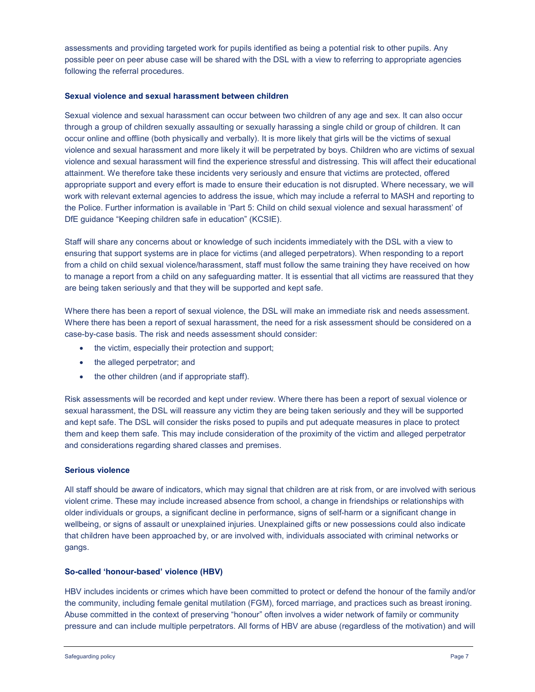assessments and providing targeted work for pupils identified as being a potential risk to other pupils. Any possible peer on peer abuse case will be shared with the DSL with a view to referring to appropriate agencies following the referral procedures.

### Sexual violence and sexual harassment between children

Sexual violence and sexual harassment can occur between two children of any age and sex. It can also occur through a group of children sexually assaulting or sexually harassing a single child or group of children. It can occur online and offline (both physically and verbally). It is more likely that girls will be the victims of sexual violence and sexual harassment and more likely it will be perpetrated by boys. Children who are victims of sexual violence and sexual harassment will find the experience stressful and distressing. This will affect their educational attainment. We therefore take these incidents very seriously and ensure that victims are protected, offered appropriate support and every effort is made to ensure their education is not disrupted. Where necessary, we will work with relevant external agencies to address the issue, which may include a referral to MASH and reporting to the Police. Further information is available in 'Part 5: Child on child sexual violence and sexual harassment' of DfE guidance "Keeping children safe in education" (KCSIE).

Staff will share any concerns about or knowledge of such incidents immediately with the DSL with a view to ensuring that support systems are in place for victims (and alleged perpetrators). When responding to a report from a child on child sexual violence/harassment, staff must follow the same training they have received on how to manage a report from a child on any safeguarding matter. It is essential that all victims are reassured that they are being taken seriously and that they will be supported and kept safe.

Where there has been a report of sexual violence, the DSL will make an immediate risk and needs assessment. Where there has been a report of sexual harassment, the need for a risk assessment should be considered on a case-by-case basis. The risk and needs assessment should consider:

- the victim, especially their protection and support;
- the alleged perpetrator: and
- the other children (and if appropriate staff).

Risk assessments will be recorded and kept under review. Where there has been a report of sexual violence or sexual harassment, the DSL will reassure any victim they are being taken seriously and they will be supported and kept safe. The DSL will consider the risks posed to pupils and put adequate measures in place to protect them and keep them safe. This may include consideration of the proximity of the victim and alleged perpetrator and considerations regarding shared classes and premises.

# Serious violence

All staff should be aware of indicators, which may signal that children are at risk from, or are involved with serious violent crime. These may include increased absence from school, a change in friendships or relationships with older individuals or groups, a significant decline in performance, signs of self-harm or a significant change in wellbeing, or signs of assault or unexplained injuries. Unexplained gifts or new possessions could also indicate that children have been approached by, or are involved with, individuals associated with criminal networks or gangs.

# So-called 'honour-based' violence (HBV)

HBV includes incidents or crimes which have been committed to protect or defend the honour of the family and/or the community, including female genital mutilation (FGM), forced marriage, and practices such as breast ironing. Abuse committed in the context of preserving "honour" often involves a wider network of family or community pressure and can include multiple perpetrators. All forms of HBV are abuse (regardless of the motivation) and will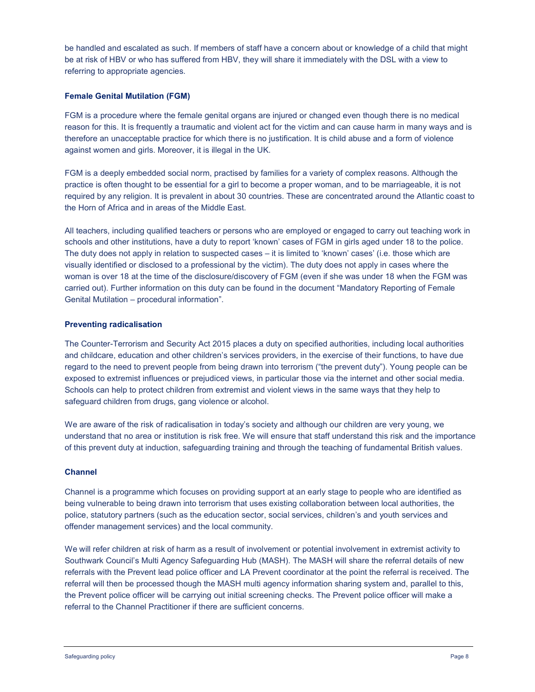be handled and escalated as such. If members of staff have a concern about or knowledge of a child that might be at risk of HBV or who has suffered from HBV, they will share it immediately with the DSL with a view to referring to appropriate agencies.

# Female Genital Mutilation (FGM)

FGM is a procedure where the female genital organs are injured or changed even though there is no medical reason for this. It is frequently a traumatic and violent act for the victim and can cause harm in many ways and is therefore an unacceptable practice for which there is no justification. It is child abuse and a form of violence against women and girls. Moreover, it is illegal in the UK.

FGM is a deeply embedded social norm, practised by families for a variety of complex reasons. Although the practice is often thought to be essential for a girl to become a proper woman, and to be marriageable, it is not required by any religion. It is prevalent in about 30 countries. These are concentrated around the Atlantic coast to the Horn of Africa and in areas of the Middle East.

All teachers, including qualified teachers or persons who are employed or engaged to carry out teaching work in schools and other institutions, have a duty to report 'known' cases of FGM in girls aged under 18 to the police. The duty does not apply in relation to suspected cases – it is limited to 'known' cases' (i.e. those which are visually identified or disclosed to a professional by the victim). The duty does not apply in cases where the woman is over 18 at the time of the disclosure/discovery of FGM (even if she was under 18 when the FGM was carried out). Further information on this duty can be found in the document "Mandatory Reporting of Female Genital Mutilation – procedural information".

# Preventing radicalisation

The Counter-Terrorism and Security Act 2015 places a duty on specified authorities, including local authorities and childcare, education and other children's services providers, in the exercise of their functions, to have due regard to the need to prevent people from being drawn into terrorism ("the prevent duty"). Young people can be exposed to extremist influences or prejudiced views, in particular those via the internet and other social media. Schools can help to protect children from extremist and violent views in the same ways that they help to safeguard children from drugs, gang violence or alcohol.

We are aware of the risk of radicalisation in today's society and although our children are very young, we understand that no area or institution is risk free. We will ensure that staff understand this risk and the importance of this prevent duty at induction, safeguarding training and through the teaching of fundamental British values.

# Channel

Channel is a programme which focuses on providing support at an early stage to people who are identified as being vulnerable to being drawn into terrorism that uses existing collaboration between local authorities, the police, statutory partners (such as the education sector, social services, children's and youth services and offender management services) and the local community.

We will refer children at risk of harm as a result of involvement or potential involvement in extremist activity to Southwark Council's Multi Agency Safeguarding Hub (MASH). The MASH will share the referral details of new referrals with the Prevent lead police officer and LA Prevent coordinator at the point the referral is received. The referral will then be processed though the MASH multi agency information sharing system and, parallel to this, the Prevent police officer will be carrying out initial screening checks. The Prevent police officer will make a referral to the Channel Practitioner if there are sufficient concerns.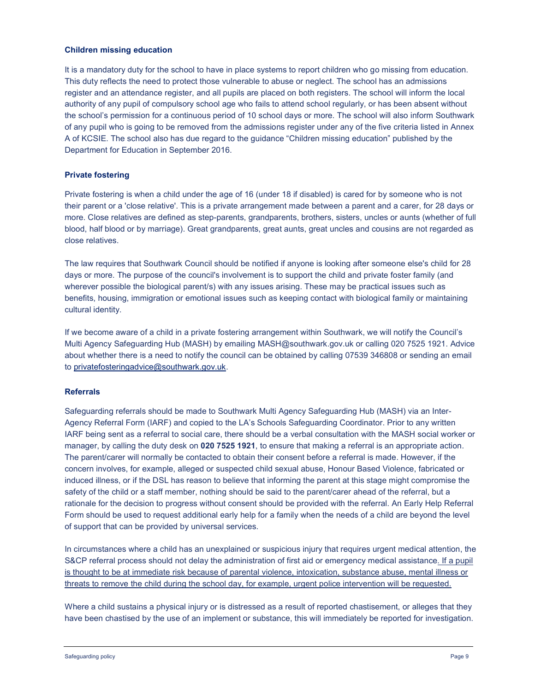### Children missing education

It is a mandatory duty for the school to have in place systems to report children who go missing from education. This duty reflects the need to protect those vulnerable to abuse or neglect. The school has an admissions register and an attendance register, and all pupils are placed on both registers. The school will inform the local authority of any pupil of compulsory school age who fails to attend school regularly, or has been absent without the school's permission for a continuous period of 10 school days or more. The school will also inform Southwark of any pupil who is going to be removed from the admissions register under any of the five criteria listed in Annex A of KCSIE. The school also has due regard to the guidance "Children missing education" published by the Department for Education in September 2016.

### Private fostering

Private fostering is when a child under the age of 16 (under 18 if disabled) is cared for by someone who is not their parent or a 'close relative'. This is a private arrangement made between a parent and a carer, for 28 days or more. Close relatives are defined as step-parents, grandparents, brothers, sisters, uncles or aunts (whether of full blood, half blood or by marriage). Great grandparents, great aunts, great uncles and cousins are not regarded as close relatives.

The law requires that Southwark Council should be notified if anyone is looking after someone else's child for 28 days or more. The purpose of the council's involvement is to support the child and private foster family (and wherever possible the biological parent/s) with any issues arising. These may be practical issues such as benefits, housing, immigration or emotional issues such as keeping contact with biological family or maintaining cultural identity.

If we become aware of a child in a private fostering arrangement within Southwark, we will notify the Council's Multi Agency Safeguarding Hub (MASH) by emailing MASH@southwark.gov.uk or calling 020 7525 1921. Advice about whether there is a need to notify the council can be obtained by calling 07539 346808 or sending an email to privatefosteringadvice@southwark.gov.uk.

# Referrals

Safeguarding referrals should be made to Southwark Multi Agency Safeguarding Hub (MASH) via an Inter-Agency Referral Form (IARF) and copied to the LA's Schools Safeguarding Coordinator. Prior to any written IARF being sent as a referral to social care, there should be a verbal consultation with the MASH social worker or manager, by calling the duty desk on 020 7525 1921, to ensure that making a referral is an appropriate action. The parent/carer will normally be contacted to obtain their consent before a referral is made. However, if the concern involves, for example, alleged or suspected child sexual abuse, Honour Based Violence, fabricated or induced illness, or if the DSL has reason to believe that informing the parent at this stage might compromise the safety of the child or a staff member, nothing should be said to the parent/carer ahead of the referral, but a rationale for the decision to progress without consent should be provided with the referral. An Early Help Referral Form should be used to request additional early help for a family when the needs of a child are beyond the level of support that can be provided by universal services.

In circumstances where a child has an unexplained or suspicious injury that requires urgent medical attention, the S&CP referral process should not delay the administration of first aid or emergency medical assistance. If a pupil is thought to be at immediate risk because of parental violence, intoxication, substance abuse, mental illness or threats to remove the child during the school day, for example, urgent police intervention will be requested.

Where a child sustains a physical injury or is distressed as a result of reported chastisement, or alleges that they have been chastised by the use of an implement or substance, this will immediately be reported for investigation.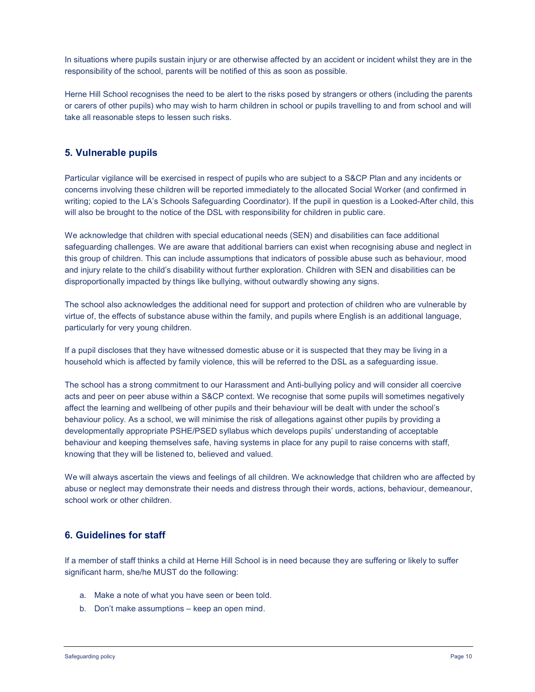In situations where pupils sustain injury or are otherwise affected by an accident or incident whilst they are in the responsibility of the school, parents will be notified of this as soon as possible.

Herne Hill School recognises the need to be alert to the risks posed by strangers or others (including the parents or carers of other pupils) who may wish to harm children in school or pupils travelling to and from school and will take all reasonable steps to lessen such risks.

# 5. Vulnerable pupils

Particular vigilance will be exercised in respect of pupils who are subject to a S&CP Plan and any incidents or concerns involving these children will be reported immediately to the allocated Social Worker (and confirmed in writing; copied to the LA's Schools Safeguarding Coordinator). If the pupil in question is a Looked-After child, this will also be brought to the notice of the DSL with responsibility for children in public care.

We acknowledge that children with special educational needs (SEN) and disabilities can face additional safeguarding challenges. We are aware that additional barriers can exist when recognising abuse and neglect in this group of children. This can include assumptions that indicators of possible abuse such as behaviour, mood and injury relate to the child's disability without further exploration. Children with SEN and disabilities can be disproportionally impacted by things like bullying, without outwardly showing any signs.

The school also acknowledges the additional need for support and protection of children who are vulnerable by virtue of, the effects of substance abuse within the family, and pupils where English is an additional language, particularly for very young children.

If a pupil discloses that they have witnessed domestic abuse or it is suspected that they may be living in a household which is affected by family violence, this will be referred to the DSL as a safeguarding issue.

The school has a strong commitment to our Harassment and Anti-bullying policy and will consider all coercive acts and peer on peer abuse within a S&CP context. We recognise that some pupils will sometimes negatively affect the learning and wellbeing of other pupils and their behaviour will be dealt with under the school's behaviour policy. As a school, we will minimise the risk of allegations against other pupils by providing a developmentally appropriate PSHE/PSED syllabus which develops pupils' understanding of acceptable behaviour and keeping themselves safe, having systems in place for any pupil to raise concerns with staff, knowing that they will be listened to, believed and valued.

We will always ascertain the views and feelings of all children. We acknowledge that children who are affected by abuse or neglect may demonstrate their needs and distress through their words, actions, behaviour, demeanour, school work or other children.

# 6. Guidelines for staff

If a member of staff thinks a child at Herne Hill School is in need because they are suffering or likely to suffer significant harm, she/he MUST do the following:

- a. Make a note of what you have seen or been told.
- b. Don't make assumptions keep an open mind.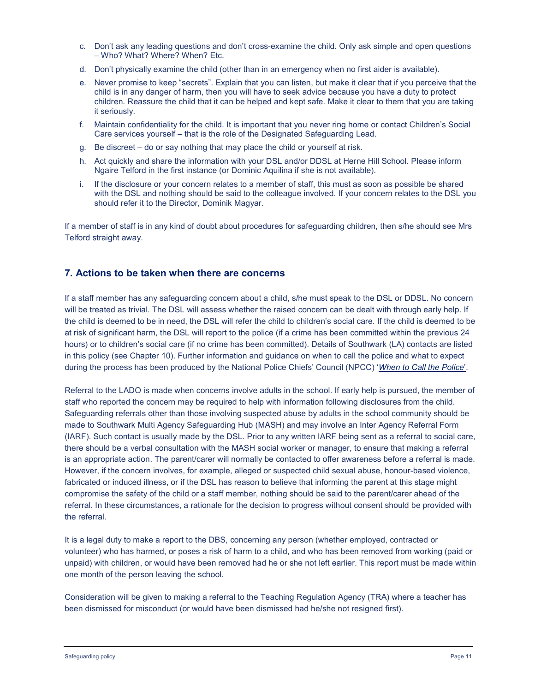- c. Don't ask any leading questions and don't cross-examine the child. Only ask simple and open questions – Who? What? Where? When? Etc.
- d. Don't physically examine the child (other than in an emergency when no first aider is available).
- e. Never promise to keep "secrets". Explain that you can listen, but make it clear that if you perceive that the child is in any danger of harm, then you will have to seek advice because you have a duty to protect children. Reassure the child that it can be helped and kept safe. Make it clear to them that you are taking it seriously.
- f. Maintain confidentiality for the child. It is important that you never ring home or contact Children's Social Care services yourself – that is the role of the Designated Safeguarding Lead.
- g. Be discreet do or say nothing that may place the child or yourself at risk.
- h. Act quickly and share the information with your DSL and/or DDSL at Herne Hill School. Please inform Ngaire Telford in the first instance (or Dominic Aquilina if she is not available).
- i. If the disclosure or your concern relates to a member of staff, this must as soon as possible be shared with the DSL and nothing should be said to the colleague involved. If your concern relates to the DSL you should refer it to the Director, Dominik Magyar.

If a member of staff is in any kind of doubt about procedures for safeguarding children, then s/he should see Mrs Telford straight away.

# 7. Actions to be taken when there are concerns

If a staff member has any safeguarding concern about a child, s/he must speak to the DSL or DDSL. No concern will be treated as trivial. The DSL will assess whether the raised concern can be dealt with through early help. If the child is deemed to be in need, the DSL will refer the child to children's social care. If the child is deemed to be at risk of significant harm, the DSL will report to the police (if a crime has been committed within the previous 24 hours) or to children's social care (if no crime has been committed). Details of Southwark (LA) contacts are listed in this policy (see Chapter 10). Further information and guidance on when to call the police and what to expect during the process has been produced by the National Police Chiefs' Council (NPCC) 'When to Call the Police'.

Referral to the LADO is made when concerns involve adults in the school. If early help is pursued, the member of staff who reported the concern may be required to help with information following disclosures from the child. Safeguarding referrals other than those involving suspected abuse by adults in the school community should be made to Southwark Multi Agency Safeguarding Hub (MASH) and may involve an Inter Agency Referral Form (IARF). Such contact is usually made by the DSL. Prior to any written IARF being sent as a referral to social care, there should be a verbal consultation with the MASH social worker or manager, to ensure that making a referral is an appropriate action. The parent/carer will normally be contacted to offer awareness before a referral is made. However, if the concern involves, for example, alleged or suspected child sexual abuse, honour-based violence, fabricated or induced illness, or if the DSL has reason to believe that informing the parent at this stage might compromise the safety of the child or a staff member, nothing should be said to the parent/carer ahead of the referral. In these circumstances, a rationale for the decision to progress without consent should be provided with the referral.

It is a legal duty to make a report to the DBS, concerning any person (whether employed, contracted or volunteer) who has harmed, or poses a risk of harm to a child, and who has been removed from working (paid or unpaid) with children, or would have been removed had he or she not left earlier. This report must be made within one month of the person leaving the school.

Consideration will be given to making a referral to the Teaching Regulation Agency (TRA) where a teacher has been dismissed for misconduct (or would have been dismissed had he/she not resigned first).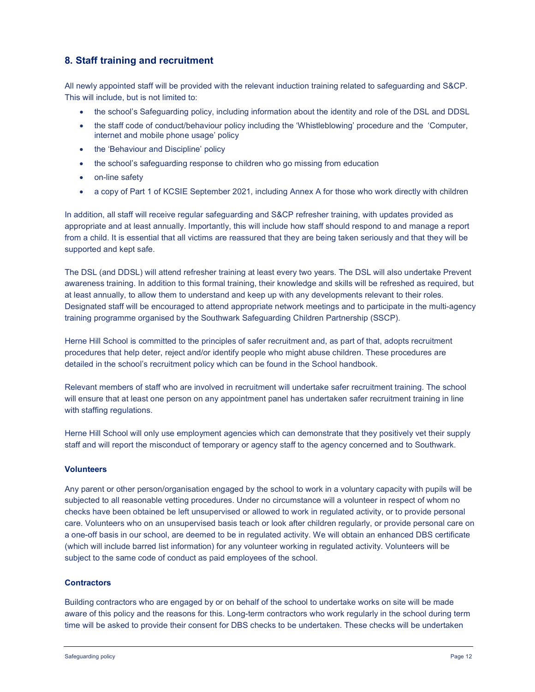# 8. Staff training and recruitment

All newly appointed staff will be provided with the relevant induction training related to safeguarding and S&CP. This will include, but is not limited to:

- the school's Safeguarding policy, including information about the identity and role of the DSL and DDSL
- the staff code of conduct/behaviour policy including the 'Whistleblowing' procedure and the 'Computer, internet and mobile phone usage' policy
- the 'Behaviour and Discipline' policy
- the school's safeguarding response to children who go missing from education
- on-line safety
- a copy of Part 1 of KCSIE September 2021, including Annex A for those who work directly with children

In addition, all staff will receive regular safeguarding and S&CP refresher training, with updates provided as appropriate and at least annually. Importantly, this will include how staff should respond to and manage a report from a child. It is essential that all victims are reassured that they are being taken seriously and that they will be supported and kept safe.

The DSL (and DDSL) will attend refresher training at least every two years. The DSL will also undertake Prevent awareness training. In addition to this formal training, their knowledge and skills will be refreshed as required, but at least annually, to allow them to understand and keep up with any developments relevant to their roles. Designated staff will be encouraged to attend appropriate network meetings and to participate in the multi-agency training programme organised by the Southwark Safeguarding Children Partnership (SSCP).

Herne Hill School is committed to the principles of safer recruitment and, as part of that, adopts recruitment procedures that help deter, reject and/or identify people who might abuse children. These procedures are detailed in the school's recruitment policy which can be found in the School handbook.

Relevant members of staff who are involved in recruitment will undertake safer recruitment training. The school will ensure that at least one person on any appointment panel has undertaken safer recruitment training in line with staffing regulations.

Herne Hill School will only use employment agencies which can demonstrate that they positively vet their supply staff and will report the misconduct of temporary or agency staff to the agency concerned and to Southwark.

#### Volunteers

Any parent or other person/organisation engaged by the school to work in a voluntary capacity with pupils will be subjected to all reasonable vetting procedures. Under no circumstance will a volunteer in respect of whom no checks have been obtained be left unsupervised or allowed to work in regulated activity, or to provide personal care. Volunteers who on an unsupervised basis teach or look after children regularly, or provide personal care on a one-off basis in our school, are deemed to be in regulated activity. We will obtain an enhanced DBS certificate (which will include barred list information) for any volunteer working in regulated activity. Volunteers will be subject to the same code of conduct as paid employees of the school.

#### **Contractors**

Building contractors who are engaged by or on behalf of the school to undertake works on site will be made aware of this policy and the reasons for this. Long-term contractors who work regularly in the school during term time will be asked to provide their consent for DBS checks to be undertaken. These checks will be undertaken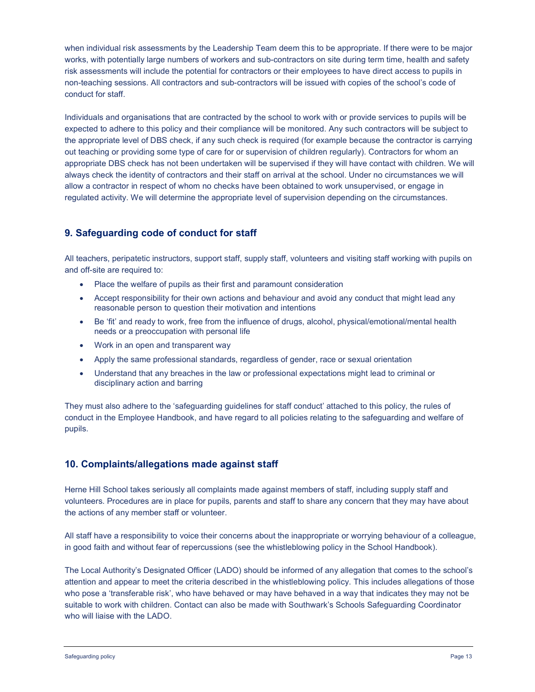when individual risk assessments by the Leadership Team deem this to be appropriate. If there were to be major works, with potentially large numbers of workers and sub-contractors on site during term time, health and safety risk assessments will include the potential for contractors or their employees to have direct access to pupils in non-teaching sessions. All contractors and sub-contractors will be issued with copies of the school's code of conduct for staff.

Individuals and organisations that are contracted by the school to work with or provide services to pupils will be expected to adhere to this policy and their compliance will be monitored. Any such contractors will be subject to the appropriate level of DBS check, if any such check is required (for example because the contractor is carrying out teaching or providing some type of care for or supervision of children regularly). Contractors for whom an appropriate DBS check has not been undertaken will be supervised if they will have contact with children. We will always check the identity of contractors and their staff on arrival at the school. Under no circumstances we will allow a contractor in respect of whom no checks have been obtained to work unsupervised, or engage in regulated activity. We will determine the appropriate level of supervision depending on the circumstances.

# 9. Safeguarding code of conduct for staff

All teachers, peripatetic instructors, support staff, supply staff, volunteers and visiting staff working with pupils on and off-site are required to:

- Place the welfare of pupils as their first and paramount consideration
- Accept responsibility for their own actions and behaviour and avoid any conduct that might lead any reasonable person to question their motivation and intentions
- Be 'fit' and ready to work, free from the influence of drugs, alcohol, physical/emotional/mental health needs or a preoccupation with personal life
- Work in an open and transparent way
- Apply the same professional standards, regardless of gender, race or sexual orientation
- Understand that any breaches in the law or professional expectations might lead to criminal or disciplinary action and barring

They must also adhere to the 'safeguarding guidelines for staff conduct' attached to this policy, the rules of conduct in the Employee Handbook, and have regard to all policies relating to the safeguarding and welfare of pupils.

# 10. Complaints/allegations made against staff

Herne Hill School takes seriously all complaints made against members of staff, including supply staff and volunteers. Procedures are in place for pupils, parents and staff to share any concern that they may have about the actions of any member staff or volunteer.

All staff have a responsibility to voice their concerns about the inappropriate or worrying behaviour of a colleague, in good faith and without fear of repercussions (see the whistleblowing policy in the School Handbook).

The Local Authority's Designated Officer (LADO) should be informed of any allegation that comes to the school's attention and appear to meet the criteria described in the whistleblowing policy. This includes allegations of those who pose a 'transferable risk', who have behaved or may have behaved in a way that indicates they may not be suitable to work with children. Contact can also be made with Southwark's Schools Safeguarding Coordinator who will liaise with the LADO.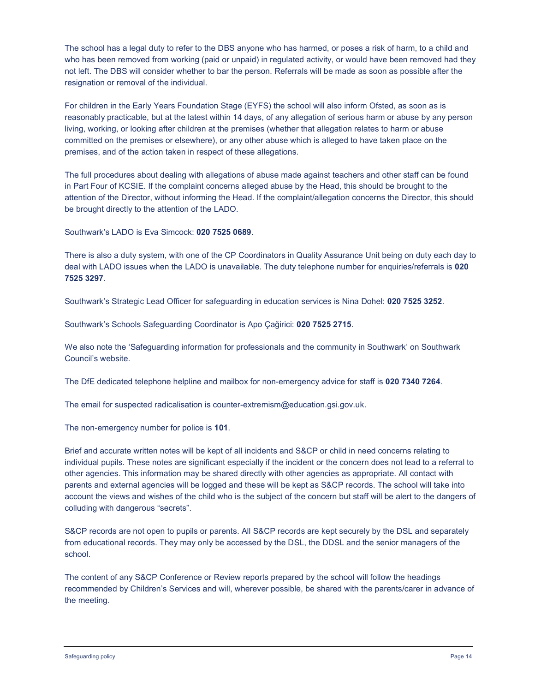The school has a legal duty to refer to the DBS anyone who has harmed, or poses a risk of harm, to a child and who has been removed from working (paid or unpaid) in regulated activity, or would have been removed had they not left. The DBS will consider whether to bar the person. Referrals will be made as soon as possible after the resignation or removal of the individual.

For children in the Early Years Foundation Stage (EYFS) the school will also inform Ofsted, as soon as is reasonably practicable, but at the latest within 14 days, of any allegation of serious harm or abuse by any person living, working, or looking after children at the premises (whether that allegation relates to harm or abuse committed on the premises or elsewhere), or any other abuse which is alleged to have taken place on the premises, and of the action taken in respect of these allegations.

The full procedures about dealing with allegations of abuse made against teachers and other staff can be found in Part Four of KCSIE. If the complaint concerns alleged abuse by the Head, this should be brought to the attention of the Director, without informing the Head. If the complaint/allegation concerns the Director, this should be brought directly to the attention of the LADO.

Southwark's LADO is Eva Simcock: 020 7525 0689.

There is also a duty system, with one of the CP Coordinators in Quality Assurance Unit being on duty each day to deal with LADO issues when the LADO is unavailable. The duty telephone number for enquiries/referrals is 020 7525 3297.

Southwark's Strategic Lead Officer for safeguarding in education services is Nina Dohel: 020 7525 3252.

Southwark's Schools Safeguarding Coordinator is Apo Çağirici: 020 7525 2715.

We also note the 'Safeguarding information for professionals and the community in Southwark' on Southwark Council's website.

The DfE dedicated telephone helpline and mailbox for non-emergency advice for staff is 020 7340 7264.

The email for suspected radicalisation is counter-extremism@education.gsi.gov.uk.

The non-emergency number for police is 101.

Brief and accurate written notes will be kept of all incidents and S&CP or child in need concerns relating to individual pupils. These notes are significant especially if the incident or the concern does not lead to a referral to other agencies. This information may be shared directly with other agencies as appropriate. All contact with parents and external agencies will be logged and these will be kept as S&CP records. The school will take into account the views and wishes of the child who is the subject of the concern but staff will be alert to the dangers of colluding with dangerous "secrets".

S&CP records are not open to pupils or parents. All S&CP records are kept securely by the DSL and separately from educational records. They may only be accessed by the DSL, the DDSL and the senior managers of the school.

The content of any S&CP Conference or Review reports prepared by the school will follow the headings recommended by Children's Services and will, wherever possible, be shared with the parents/carer in advance of the meeting.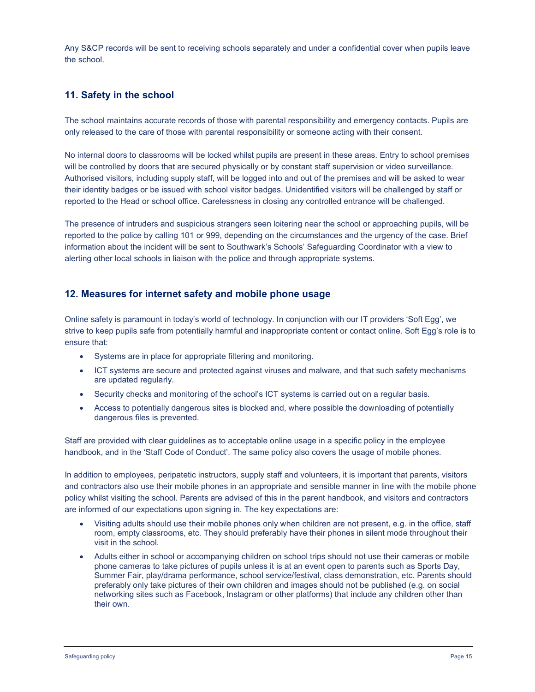Any S&CP records will be sent to receiving schools separately and under a confidential cover when pupils leave the school.

# 11. Safety in the school

The school maintains accurate records of those with parental responsibility and emergency contacts. Pupils are only released to the care of those with parental responsibility or someone acting with their consent.

No internal doors to classrooms will be locked whilst pupils are present in these areas. Entry to school premises will be controlled by doors that are secured physically or by constant staff supervision or video surveillance. Authorised visitors, including supply staff, will be logged into and out of the premises and will be asked to wear their identity badges or be issued with school visitor badges. Unidentified visitors will be challenged by staff or reported to the Head or school office. Carelessness in closing any controlled entrance will be challenged.

The presence of intruders and suspicious strangers seen loitering near the school or approaching pupils, will be reported to the police by calling 101 or 999, depending on the circumstances and the urgency of the case. Brief information about the incident will be sent to Southwark's Schools' Safeguarding Coordinator with a view to alerting other local schools in liaison with the police and through appropriate systems.

# 12. Measures for internet safety and mobile phone usage

Online safety is paramount in today's world of technology. In conjunction with our IT providers 'Soft Egg', we strive to keep pupils safe from potentially harmful and inappropriate content or contact online. Soft Egg's role is to ensure that:

- Systems are in place for appropriate filtering and monitoring.
- ICT systems are secure and protected against viruses and malware, and that such safety mechanisms are updated regularly.
- Security checks and monitoring of the school's ICT systems is carried out on a regular basis.
- Access to potentially dangerous sites is blocked and, where possible the downloading of potentially dangerous files is prevented.

Staff are provided with clear guidelines as to acceptable online usage in a specific policy in the employee handbook, and in the 'Staff Code of Conduct'. The same policy also covers the usage of mobile phones.

In addition to employees, peripatetic instructors, supply staff and volunteers, it is important that parents, visitors and contractors also use their mobile phones in an appropriate and sensible manner in line with the mobile phone policy whilst visiting the school. Parents are advised of this in the parent handbook, and visitors and contractors are informed of our expectations upon signing in. The key expectations are:

- Visiting adults should use their mobile phones only when children are not present, e.g. in the office, staff room, empty classrooms, etc. They should preferably have their phones in silent mode throughout their visit in the school.
- Adults either in school or accompanying children on school trips should not use their cameras or mobile phone cameras to take pictures of pupils unless it is at an event open to parents such as Sports Day, Summer Fair, play/drama performance, school service/festival, class demonstration, etc. Parents should preferably only take pictures of their own children and images should not be published (e.g. on social networking sites such as Facebook, Instagram or other platforms) that include any children other than their own.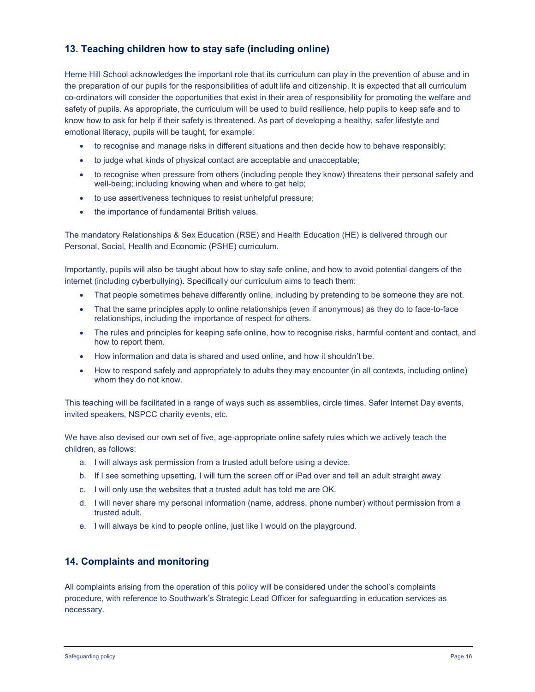# 13. Teaching children how to stay safe (including online)

Herne Hill School acknowledges the important role that its curriculum can play in the prevention of abuse and in the preparation of our pupils for the responsibilities of adult life and citizenship. It is expected that all curriculum co-ordinators will consider the opportunities that exist in their area of responsibility for promoting the welfare and safety of pupils. As appropriate, the curriculum will be used to build resilience, help pupils to keep safe and to know how to ask for help if their safety is threatened. As part of developing a healthy, safer lifestyle and emotional literacy, pupils will be taught, for example:

- to recognise and manage risks in different situations and then decide how to behave responsibly;
- to judge what kinds of physical contact are acceptable and unacceptable;
- to recognise when pressure from others (including people they know) threatens their personal safety and well-being; including knowing when and where to get help;
- to use assertiveness techniques to resist unhelpful pressure;
- the importance of fundamental British values.

The mandatory Relationships & Sex Education (RSE) and Health Education (HE) is delivered through our Personal, Social, Health and Economic (PSHE) curriculum.

Importantly, pupils will also be taught about how to stay safe online, and how to avoid potential dangers of the internet (including cyberbullying). Specifically our curriculum aims to teach them:

- That people sometimes behave differently online, including by pretending to be someone they are not.
- That the same principles apply to online relationships (even if anonymous) as they do to face-to-face relationships, including the importance of respect for others.
- The rules and principles for keeping safe online, how to recognise risks, harmful content and contact, and how to report them.
- How information and data is shared and used online, and how it shouldn't be.
- How to respond safely and appropriately to adults they may encounter (in all contexts, including online) whom they do not know.

This teaching will be facilitated in a range of ways such as assemblies, circle times, Safer Internet Day events, invited speakers, NSPCC charity events, etc.

We have also devised our own set of five, age-appropriate online safety rules which we actively teach the children, as follows:

- a. I will always ask permission from a trusted adult before using a device.
- b. If I see something upsetting, I will turn the screen off or iPad over and tell an adult straight away
- c. I will only use the websites that a trusted adult has told me are OK.
- d. I will never share my personal information (name, address, phone number) without permission from a trusted adult.
- e. I will always be kind to people online, just like I would on the playground.

# 14. Complaints and monitoring

All complaints arising from the operation of this policy will be considered under the school's complaints procedure, with reference to Southwark's Strategic Lead Officer for safeguarding in education services as necessary.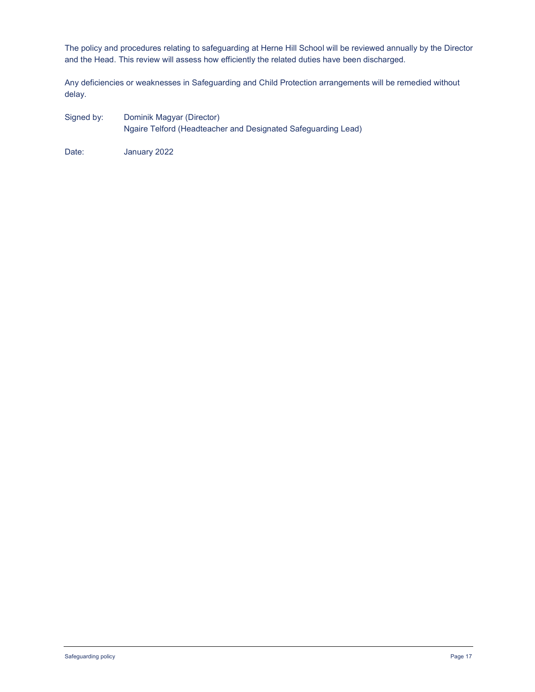The policy and procedures relating to safeguarding at Herne Hill School will be reviewed annually by the Director and the Head. This review will assess how efficiently the related duties have been discharged.

Any deficiencies or weaknesses in Safeguarding and Child Protection arrangements will be remedied without delay.

Signed by: Dominik Magyar (Director) Ngaire Telford (Headteacher and Designated Safeguarding Lead)

Date: January 2022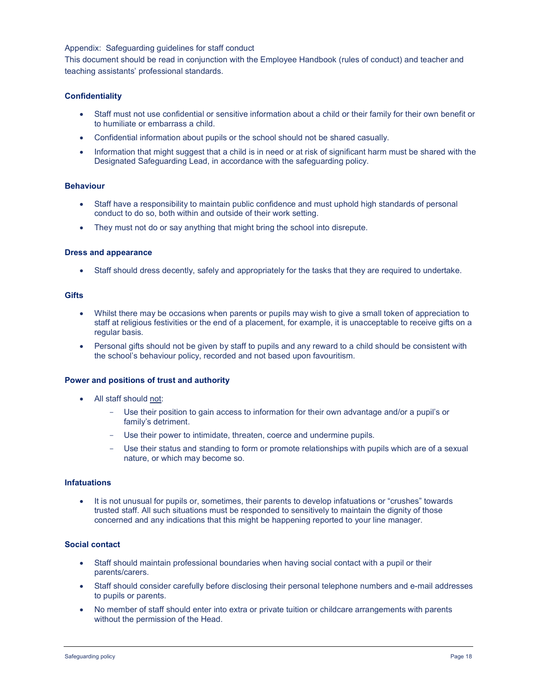### Appendix: Safeguarding guidelines for staff conduct

This document should be read in conjunction with the Employee Handbook (rules of conduct) and teacher and teaching assistants' professional standards.

### **Confidentiality**

- Staff must not use confidential or sensitive information about a child or their family for their own benefit or to humiliate or embarrass a child.
- Confidential information about pupils or the school should not be shared casually.
- Information that might suggest that a child is in need or at risk of significant harm must be shared with the Designated Safeguarding Lead, in accordance with the safeguarding policy.

# Behaviour

- Staff have a responsibility to maintain public confidence and must uphold high standards of personal conduct to do so, both within and outside of their work setting.
- They must not do or say anything that might bring the school into disrepute.

#### Dress and appearance

Staff should dress decently, safely and appropriately for the tasks that they are required to undertake.

#### **Gifts**

- Whilst there may be occasions when parents or pupils may wish to give a small token of appreciation to staff at religious festivities or the end of a placement, for example, it is unacceptable to receive gifts on a regular basis.
- Personal gifts should not be given by staff to pupils and any reward to a child should be consistent with the school's behaviour policy, recorded and not based upon favouritism.

#### Power and positions of trust and authority

- All staff should not:
	- Use their position to gain access to information for their own advantage and/or a pupil's or family's detriment.
	- Use their power to intimidate, threaten, coerce and undermine pupils.
	- Use their status and standing to form or promote relationships with pupils which are of a sexual nature, or which may become so.

#### **Infatuations**

 It is not unusual for pupils or, sometimes, their parents to develop infatuations or "crushes" towards trusted staff. All such situations must be responded to sensitively to maintain the dignity of those concerned and any indications that this might be happening reported to your line manager.

#### Social contact

- Staff should maintain professional boundaries when having social contact with a pupil or their parents/carers.
- Staff should consider carefully before disclosing their personal telephone numbers and e-mail addresses to pupils or parents.
- No member of staff should enter into extra or private tuition or childcare arrangements with parents without the permission of the Head.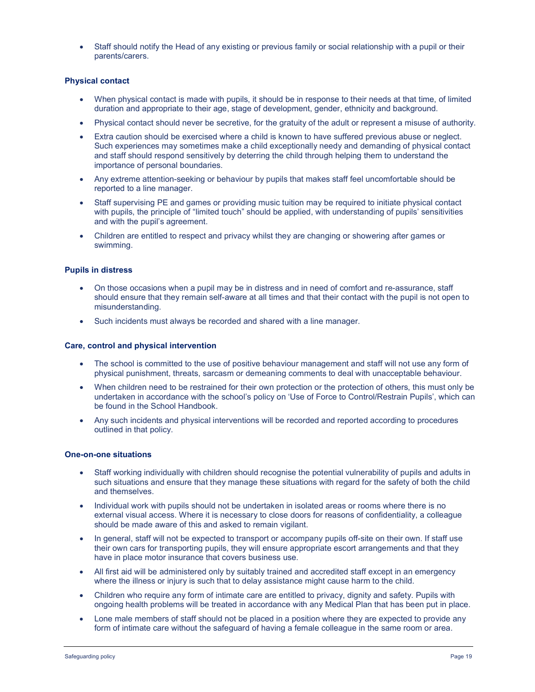Staff should notify the Head of any existing or previous family or social relationship with a pupil or their parents/carers.

### Physical contact

- When physical contact is made with pupils, it should be in response to their needs at that time, of limited duration and appropriate to their age, stage of development, gender, ethnicity and background.
- Physical contact should never be secretive, for the gratuity of the adult or represent a misuse of authority.
- Extra caution should be exercised where a child is known to have suffered previous abuse or neglect. Such experiences may sometimes make a child exceptionally needy and demanding of physical contact and staff should respond sensitively by deterring the child through helping them to understand the importance of personal boundaries.
- Any extreme attention-seeking or behaviour by pupils that makes staff feel uncomfortable should be reported to a line manager.
- Staff supervising PE and games or providing music tuition may be required to initiate physical contact with pupils, the principle of "limited touch" should be applied, with understanding of pupils' sensitivities and with the pupil's agreement.
- Children are entitled to respect and privacy whilst they are changing or showering after games or swimming.

### Pupils in distress

- On those occasions when a pupil may be in distress and in need of comfort and re-assurance, staff should ensure that they remain self-aware at all times and that their contact with the pupil is not open to misunderstanding.
- Such incidents must always be recorded and shared with a line manager.

### Care, control and physical intervention

- The school is committed to the use of positive behaviour management and staff will not use any form of physical punishment, threats, sarcasm or demeaning comments to deal with unacceptable behaviour.
- When children need to be restrained for their own protection or the protection of others, this must only be undertaken in accordance with the school's policy on 'Use of Force to Control/Restrain Pupils', which can be found in the School Handbook.
- Any such incidents and physical interventions will be recorded and reported according to procedures outlined in that policy.

#### One-on-one situations

- Staff working individually with children should recognise the potential vulnerability of pupils and adults in such situations and ensure that they manage these situations with regard for the safety of both the child and themselves.
- Individual work with pupils should not be undertaken in isolated areas or rooms where there is no external visual access. Where it is necessary to close doors for reasons of confidentiality, a colleague should be made aware of this and asked to remain vigilant.
- In general, staff will not be expected to transport or accompany pupils off-site on their own. If staff use their own cars for transporting pupils, they will ensure appropriate escort arrangements and that they have in place motor insurance that covers business use.
- All first aid will be administered only by suitably trained and accredited staff except in an emergency where the illness or injury is such that to delay assistance might cause harm to the child.
- Children who require any form of intimate care are entitled to privacy, dignity and safety. Pupils with ongoing health problems will be treated in accordance with any Medical Plan that has been put in place.
- Lone male members of staff should not be placed in a position where they are expected to provide any form of intimate care without the safeguard of having a female colleague in the same room or area.